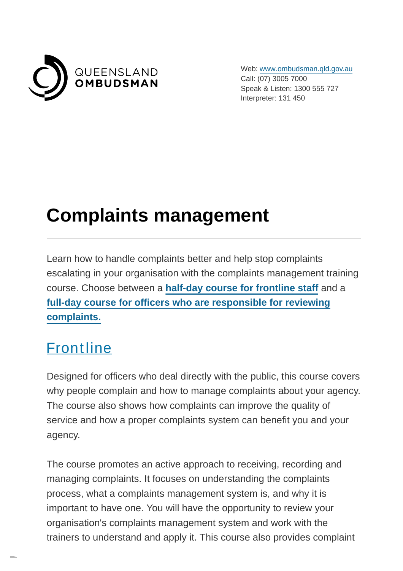

Web: [www.ombudsman.qld.gov.au](https://www.ombudsman.qld.gov.au/) Call: (07) 3005 7000 Speak & Listen: 1300 555 727 Interpreter: 131 450

# **Complaints management**

Learn how to handle complaints better and help stop complaints escalating in your organisation with the complaints management training course. Choose between a **[half-day course for frontline staff](https://www.ombudsman.qld.gov.au/training-and-education/training-courses/complaints-management-training?PrintToPDF=True&dummy=202271024#Frontline_staff)** and a **[full-day course for officers who are responsible for reviewing](https://www.ombudsman.qld.gov.au/training-and-education/training-courses/complaints-management-training?PrintToPDF=True&dummy=202271024#Internal_review_staff) complaints.**

### **[Frontline](https://www.ombudsman.qld.gov.au/training-and-education/training-courses/complaints-management-training?PrintToPDF=True&dummy=202271024#Frontline_staff)**

Designed for officers who deal directly with the public, this course covers why people complain and how to manage complaints about your agency. The course also shows how complaints can improve the quality of service and how a proper complaints system can benefit you and your agency.

The course promotes an active approach to receiving, recording and managing complaints. It focuses on understanding the complaints process, what a complaints management system is, and why it is important to have one. You will have the opportunity to review your organisation's complaints management system and work with the trainers to understand and apply it. This course also provides complaint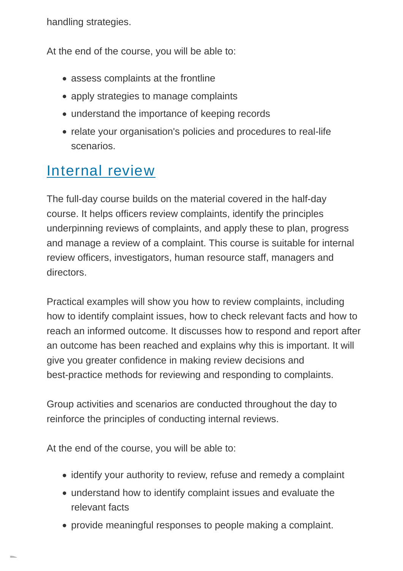handling strategies.

At the end of the course, you will be able to:

- assess complaints at the frontline
- apply strategies to manage complaints
- understand the importance of keeping records
- relate your organisation's policies and procedures to real-life scenarios.

### [Internal review](https://www.ombudsman.qld.gov.au/training-and-education/training-courses/complaints-management-training?PrintToPDF=True&dummy=202271024#Internal_review_staff)

The full-day course builds on the material covered in the half-day course. It helps officers review complaints, identify the principles underpinning reviews of complaints, and apply these to plan, progress and manage a review of a complaint. This course is suitable for internal review officers, investigators, human resource staff, managers and directors.

Practical examples will show you how to review complaints, including how to identify complaint issues, how to check relevant facts and how to reach an informed outcome. It discusses how to respond and report after an outcome has been reached and explains why this is important. It will give you greater confidence in making review decisions and best-practice methods for reviewing and responding to complaints.

Group activities and scenarios are conducted throughout the day to reinforce the principles of conducting internal reviews.

At the end of the course, you will be able to:

- identify your authority to review, refuse and remedy a complaint
- understand how to identify complaint issues and evaluate the relevant facts
- provide meaningful responses to people making a complaint.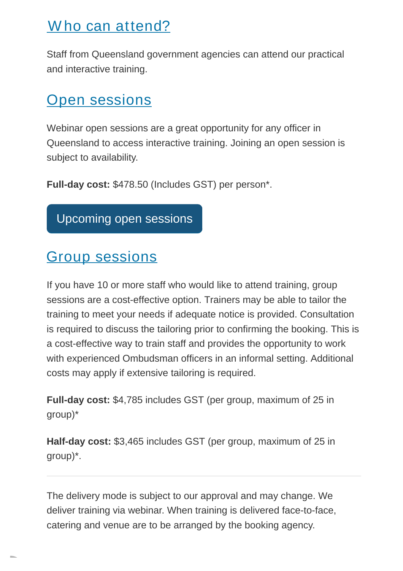### Who can attend?

Staff from Queensland government agencies can attend our practical and interactive training.

#### **[Open sessions](https://www.ombudsman.qld.gov.au/training-and-education/training-courses/complaints-management-training?PrintToPDF=True&dummy=202271024#open_sessions)**

Webinar open sessions are a great opportunity for any officer in Queensland to access interactive training. Joining an open session is subject to availability.

**Full-day cost:** \$478.50 (Includes GST) per person\*.

[Upcoming open sessions](https://www.ombudsman.qld.gov.au/training-and-education/book-a-training-course/complaints-management-training/complaints-management)

## [Group sessions](https://www.ombudsman.qld.gov.au/training-and-education/training-courses/complaints-management-training?PrintToPDF=True&dummy=202271024#group_sessions)

If you have 10 or more staff who would like to attend training, group sessions are a cost-effective option. Trainers may be able to tailor the training to meet your needs if adequate notice is provided. Consultation is required to discuss the tailoring prior to confirming the booking. This is a cost-effective way to train staff and provides the opportunity to work with experienced Ombudsman officers in an informal setting. Additional costs may apply if extensive tailoring is required.

**Full-day cost:** \$4,785 includes GST (per group, maximum of 25 in group)\*

**Half-day cost:** \$3,465 includes GST (per group, maximum of 25 in group)\*.

The delivery mode is subject to our approval and may change. We deliver training via webinar. When training is delivered face-to-face, catering and venue are to be arranged by the booking agency.